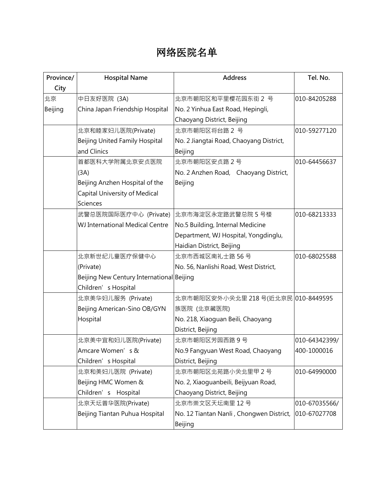## 网络医院名单

| Province/ | <b>Hospital Name</b>                      | <b>Address</b>                           | Tel. No.      |
|-----------|-------------------------------------------|------------------------------------------|---------------|
| City      |                                           |                                          |               |
| 北京        | 中日友好医院 (3A)                               | 北京市朝阳区和平里樱花园东街 2 号                       | 010-84205288  |
| Beijing   | China Japan Friendship Hospital           | No. 2 Yinhua East Road, Hepingli,        |               |
|           |                                           | Chaoyang District, Beijing               |               |
|           | 北京和睦家妇儿医院(Private)                        | 北京市朝阳区将台路 2 号                            | 010-59277120  |
|           | Beijing United Family Hospital            | No. 2 Jiangtai Road, Chaoyang District,  |               |
|           | and Clinics                               | Beijing                                  |               |
|           | 首都医科大学附属北京安贞医院                            | 北京市朝阳区安贞路2号                              | 010-64456637  |
|           | (3A)                                      | No. 2 Anzhen Road, Chaoyang District,    |               |
|           | Beijing Anzhen Hospital of the            | Beijing                                  |               |
|           | Capital University of Medical             |                                          |               |
|           | <b>Sciences</b>                           |                                          |               |
|           | 武警总医院国际医疗中心 (Private)                     | 北京市海淀区永定路武警总院 5 号楼                       | 010-68213333  |
|           | WJ International Medical Centre           | No.5 Building, Internal Medicine         |               |
|           |                                           | Department, WJ Hospital, Yongdinglu,     |               |
|           |                                           | Haidian District, Beijing                |               |
|           | 北京新世纪儿童医疗保健中心                             | 北京市西城区南礼士路 56号                           | 010-68025588  |
|           | (Private)                                 | No. 56, Nanlishi Road, West District,    |               |
|           | Beijing New Century International Beijing |                                          |               |
|           | Children' s Hospital                      |                                          |               |
|           | 北京美华妇儿服务 (Private)                        | 北京市朝阳区安外小关北里 218号(近北京民 010-8449595       |               |
|           | Beijing American-Sino OB/GYN              | 族医院 (北京藏医院)                              |               |
|           | Hospital                                  | No. 218, Xiaoguan Beili, Chaoyang        |               |
|           |                                           | District, Beijing                        |               |
|           | 北京美中宜和妇儿医院(Private)                       | 北京市朝阳区芳园西路9号                             | 010-64342399/ |
|           | Amcare Women's &                          | No.9 Fangyuan West Road, Chaoyang        | 400-1000016   |
|           | Children' s Hospital                      | District, Beijing                        |               |
|           | 北京和美妇儿医院 (Private)                        | 北京市朝阳区北苑路小关北里甲2号                         | 010-64990000  |
|           | Beijing HMC Women &                       | No. 2, Xiaoguanbeili, Beijyuan Road,     |               |
|           | Children' s Hospital                      | Chaoyang District, Beijing               |               |
|           | 北京天坛普华医院(Private)                         | 北京市崇文区天坛南里 12号                           | 010-67035566/ |
|           | Beijing Tiantan Puhua Hospital            | No. 12 Tiantan Nanli, Chongwen District, | 010-67027708  |
|           |                                           | Beijing                                  |               |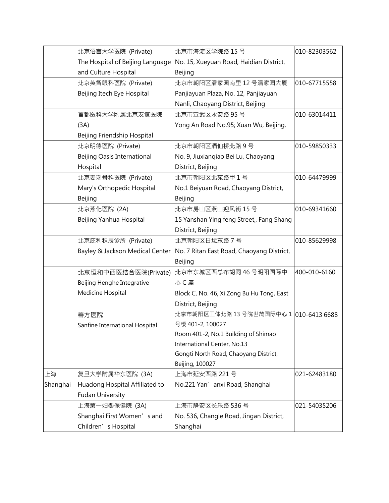|          | 北京语言大学医院 (Private)                 | 北京市海淀区学院路 15号                                                               | 010-82303562 |
|----------|------------------------------------|-----------------------------------------------------------------------------|--------------|
|          | The Hospital of Beijing Language   | No. 15, Xueyuan Road, Haidian District,                                     |              |
|          | and Culture Hospital               | Beijing                                                                     |              |
|          | 北京英智眼科医院 (Private)                 | 北京市朝阳区潘家园南里 12号潘家园大厦                                                        | 010-67715558 |
|          | Beijing Itech Eye Hospital         | Panjiayuan Plaza, No. 12, Panjiayuan                                        |              |
|          |                                    | Nanli, Chaoyang District, Beijing                                           |              |
|          | 首都医科大学附属北京友谊医院                     | 北京市宣武区永安路 95号                                                               | 010-63014411 |
|          | (3A)                               | Yong An Road No.95; Xuan Wu, Beijing.                                       |              |
|          | Beijing Friendship Hospital        |                                                                             |              |
|          | 北京明德医院 (Private)                   | 北京市朝阳区酒仙桥北路9号                                                               | 010-59850333 |
|          | <b>Beijing Oasis International</b> | No. 9, Jiuxiangiao Bei Lu, Chaoyang                                         |              |
|          | Hospital                           | District, Beijing                                                           |              |
|          | 北京麦瑞骨科医院 (Private)                 | 北京市朝阳区北苑路甲1号                                                                | 010-64479999 |
|          | Mary's Orthopedic Hospital         | No.1 Beiyuan Road, Chaoyang District,                                       |              |
|          | Beijing                            | Beijing                                                                     |              |
|          | 北京燕化医院 (2A)                        | 北京市房山区燕山迎风街 15号                                                             | 010-69341660 |
|          | Beijing Yanhua Hospital            | 15 Yanshan Ying feng Street,, Fang Shang                                    |              |
|          |                                    | District, Beijing                                                           |              |
|          | 北京庇利积辰诊所 (Private)                 | 北京朝阳区日坛东路 7号                                                                | 010-85629998 |
|          |                                    | Bayley & Jackson Medical Center   No. 7 Ritan East Road, Chaoyang District, |              |
|          |                                    | Beijing                                                                     |              |
|          | 北京恒和中西医结合医院(Private)               | 北京市东城区西总布胡同46号明阳国际中                                                         | 400-010-6160 |
|          | Beijing Henghe Integrative         | 心C座                                                                         |              |
|          | Medicine Hospital                  | Block C, No. 46, Xi Zong Bu Hu Tong, East                                   |              |
|          |                                    | District, Beijing                                                           |              |
|          | 善方医院                               | 北京市朝阳区工体北路 13 号院世茂国际中心 1  010-6413 6688                                     |              |
|          | Sanfine International Hospital     | 号楼 401-2, 100027                                                            |              |
|          |                                    | Room 401-2, No.1 Building of Shimao                                         |              |
|          |                                    | International Center, No.13                                                 |              |
|          |                                    | Gongti North Road, Chaoyang District,                                       |              |
|          |                                    | Beijing, 100027                                                             |              |
| 上海       | 复旦大学附属华东医院 (3A)                    | 上海市延安西路 221 号                                                               | 021-62483180 |
| Shanghai | Huadong Hospital Affiliated to     | No.221 Yan' anxi Road, Shanghai                                             |              |
|          | <b>Fudan University</b>            |                                                                             |              |
|          | 上海第一妇婴保健院 (3A)                     | 上海市静安区长乐路 536号                                                              | 021-54035206 |
|          | Shanghai First Women's and         | No. 536, Changle Road, Jingan District,                                     |              |
|          | Children' s Hospital               | Shanghai                                                                    |              |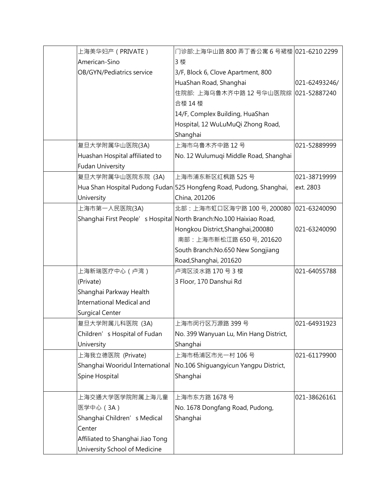| 上海美华妇产(PRIVATE)                  | 门诊部:上海华山路 800 弄丁香公寓 6 号裙楼  021-6210 2299                            |               |
|----------------------------------|---------------------------------------------------------------------|---------------|
| American-Sino                    | 3 楼                                                                 |               |
| OB/GYN/Pediatrics service        | 3/F, Block 6, Clove Apartment, 800                                  |               |
|                                  | HuaShan Road, Shanghai                                              | 021-62493246/ |
|                                  | 住院部: 上海乌鲁木齐中路 12 号华山医院综                                             | 021-52887240  |
|                                  | 合楼 14 楼                                                             |               |
|                                  | 14/F, Complex Building, HuaShan                                     |               |
|                                  | Hospital, 12 WuLuMuQi Zhong Road,                                   |               |
|                                  | Shanghai                                                            |               |
| 复旦大学附属华山医院(3A)                   | 上海市乌鲁木齐中路 12号                                                       | 021-52889999  |
| Huashan Hospital affiliated to   | No. 12 Wulumuqi Middle Road, Shanghai                               |               |
| <b>Fudan University</b>          |                                                                     |               |
| 复旦大学附属华山医院东院 (3A)                | 上海市浦东新区红枫路 525号                                                     | 021-38719999  |
|                                  | Hua Shan Hospital Pudong Fudan 525 Hongfeng Road, Pudong, Shanghai, | ext. 2803     |
| University                       | China, 201206                                                       |               |
| 上海市第一人民医院(3A)                    | 北部: 上海市虹口区海宁路 100号, 200080                                          | 021-63240090  |
|                                  | Shanghai First People's Hospital North Branch: No.100 Haixiao Road, |               |
|                                  | Hongkou District, Shanghai, 200080                                  | 021-63240090  |
|                                  | 南部: 上海市新松江路 650号, 201620                                            |               |
|                                  | South Branch: No.650 New Songjiang                                  |               |
|                                  | Road, Shanghai, 201620                                              |               |
| 上海新瑞医疗中心(卢湾)                     | 卢湾区淡水路 170号3楼                                                       | 021-64055788  |
| (Private)                        | 3 Floor, 170 Danshui Rd                                             |               |
| Shanghai Parkway Health          |                                                                     |               |
| International Medical and        |                                                                     |               |
| Surgical Center                  |                                                                     |               |
| 复旦大学附属儿科医院 (3A)                  | 上海市闵行区万源路 399 号                                                     | 021-64931923  |
| Children's Hospital of Fudan     | No. 399 Wanyuan Lu, Min Hang District,                              |               |
| University                       | Shanghai                                                            |               |
| 上海我立德医院 (Private)                | 上海市杨浦区市光一村 106号                                                     | 021-61179900  |
| Shanghai Wooridul International  | No.106 Shiguangyicun Yangpu District,                               |               |
| Spine Hospital                   | Shanghai                                                            |               |
|                                  |                                                                     |               |
| 上海交通大学医学院附属上海儿童                  | 上海市东方路 1678 号                                                       | 021-38626161  |
| 医学中心 (3A)                        | No. 1678 Dongfang Road, Pudong,                                     |               |
| Shanghai Children's Medical      | Shanghai                                                            |               |
| Center                           |                                                                     |               |
| Affiliated to Shanghai Jiao Tong |                                                                     |               |
| University School of Medicine    |                                                                     |               |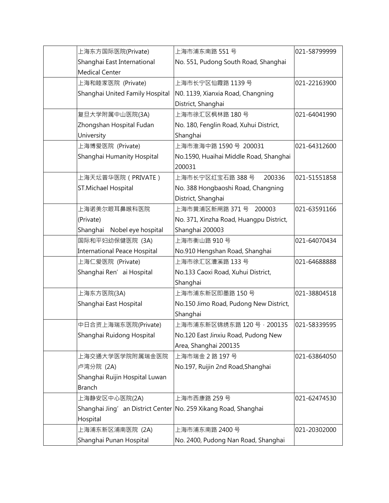| 上海东方国际医院(Private)                                               | 上海市浦东南路 551号                                     | 021-58799999 |
|-----------------------------------------------------------------|--------------------------------------------------|--------------|
| Shanghai East International                                     | No. 551, Pudong South Road, Shanghai             |              |
| Medical Center                                                  |                                                  |              |
| 上海和睦家医院 (Private)                                               | 上海市长宁区仙霞路 1139号                                  | 021-22163900 |
| Shanghai United Family Hospital                                 | N0. 1139, Xianxia Road, Changning                |              |
|                                                                 | District, Shanghai                               |              |
| 复旦大学附属中山医院(3A)                                                  | 上海市徐汇区枫林路 180号                                   | 021-64041990 |
| Zhongshan Hospital Fudan                                        | No. 180, Fenglin Road, Xuhui District,           |              |
| University                                                      | Shanghai                                         |              |
| 上海博爱医院 (Private)                                                | 上海市淮海中路 1590 号 200031                            | 021-64312600 |
| Shanghai Humanity Hospital                                      | No.1590, Huaihai Middle Road, Shanghai<br>200031 |              |
| 上海天坛普华医院(PRIVATE)                                               | 上海市长宁区红宝石路 388 号<br>200336                       | 021-51551858 |
| ST.Michael Hospital                                             | No. 388 Hongbaoshi Road, Changning               |              |
|                                                                 | District, Shanghai                               |              |
| 上海诺美尔眼耳鼻喉科医院                                                    | 上海市黄浦区新闸路 371 号 200003                           | 021-63591166 |
| (Private)                                                       | No. 371, Xinzha Road, Huangpu District,          |              |
| Shanghai Nobel eye hospital                                     | Shanghai 200003                                  |              |
| 国际和平妇幼保健医院 (3A)                                                 | 上海市衡山路 910号                                      | 021-64070434 |
| International Peace Hospital                                    | No.910 Hengshan Road, Shanghai                   |              |
| 上海仁爱医院 (Private)                                                | 上海市徐汇区漕溪路 133号                                   | 021-64688888 |
| Shanghai Ren' ai Hospital                                       | No.133 Caoxi Road, Xuhui District,               |              |
|                                                                 | Shanghai                                         |              |
| 上海东方医院(3A)                                                      | 上海市浦东新区即墨路 150号                                  | 021-38804518 |
| Shanghai East Hospital                                          | No.150 Jimo Road, Pudong New District,           |              |
|                                                                 | Shanghai                                         |              |
| 中日合资上海瑞东医院(Private)                                             | 上海市浦东新区锦绣东路 120 号 · 200135                       | 021-58339595 |
| Shanghai Ruidong Hospital                                       | No.120 East Jinxiu Road, Pudong New              |              |
|                                                                 | Area, Shanghai 200135                            |              |
| 上海交通大学医学院附属瑞金医院                                                 | 上海市瑞金 2路 197号                                    | 021-63864050 |
| 卢湾分院 (2A)                                                       | No.197, Ruijin 2nd Road, Shanghai                |              |
| Shanghai Ruijin Hospital Luwan                                  |                                                  |              |
| Branch                                                          |                                                  |              |
| 上海静安区中心医院(2A)                                                   | 上海市西康路 259号                                      | 021-62474530 |
| Shanghai Jing' an District Center No. 259 Xikang Road, Shanghai |                                                  |              |
| Hospital                                                        |                                                  |              |
| 上海浦东新区浦南医院 (2A)                                                 | 上海市浦东南路 2400号                                    | 021-20302000 |
| Shanghai Punan Hospital                                         | No. 2400, Pudong Nan Road, Shanghai              |              |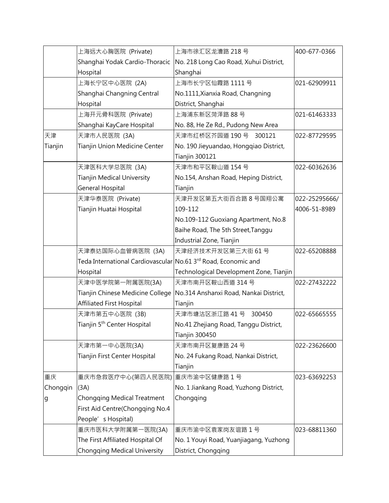|          | 上海远大心胸医院 (Private)                                                         | 上海市徐汇区龙漕路 218号                                           | 400-677-0366  |
|----------|----------------------------------------------------------------------------|----------------------------------------------------------|---------------|
|          | Shanghai Yodak Cardio-Thoracic                                             | No. 218 Long Cao Road, Xuhui District,                   |               |
|          | Hospital                                                                   | Shanghai                                                 |               |
|          | 上海长宁区中心医院 (2A)                                                             | 上海市长宁区仙霞路 1111 号                                         | 021-62909911  |
|          | Shanghai Changning Central                                                 | No.1111, Xianxia Road, Changning                         |               |
|          | Hospital                                                                   | District, Shanghai                                       |               |
|          | 上海开元骨科医院 (Private)                                                         | 上海浦东新区菏泽路 88号                                            | 021-61463333  |
|          | Shanghai KayCare Hospital                                                  | No. 88, He Ze Rd., Pudong New Area                       |               |
| 天津       | 天津市人民医院 (3A)                                                               | 天津市红桥区芥园道 190号 300121                                    | 022-87729595  |
| Tianjin  | Tianjin Union Medicine Center                                              | No. 190 Jieyuandao, Hongqiao District,<br>Tianjin 300121 |               |
|          | 天津医科大学总医院 (3A)                                                             | 天津市和平区鞍山道 154号                                           | 022-60362636  |
|          | <b>Tianjin Medical University</b>                                          | No.154, Anshan Road, Heping District,                    |               |
|          | General Hospital                                                           | Tianjin                                                  |               |
|          | 天津华泰医院 (Private)                                                           | 天津开发区第五大街百合路 8号国翔公寓                                      | 022-25295666/ |
|          | Tianjin Huatai Hospital                                                    | 109-112                                                  | 4006-51-8989  |
|          |                                                                            | No.109-112 Guoxiang Apartment, No.8                      |               |
|          |                                                                            | Baihe Road, The 5th Street, Tanggu                       |               |
|          |                                                                            | Industrial Zone, Tianjin                                 |               |
|          | 天津泰达国际心血管病医院 (3A)                                                          | 天津经济技术开发区第三大街 61号                                        | 022-65208888  |
|          | Teda International Cardiovascular No.61 3 <sup>rd</sup> Road, Economic and |                                                          |               |
|          | Hospital                                                                   | Technological Development Zone, Tianjin                  |               |
|          | 天津中医学院第一附属医院(3A)                                                           | 天津市南开区鞍山西道 314号                                          | 022-27432222  |
|          | Tianjin Chinese Medicine College                                           | No.314 Anshanxi Road, Nankai District,                   |               |
|          | <b>Affiliated First Hospital</b>                                           | Tianjin                                                  |               |
|          | 天津市第五中心医院 (3B)                                                             | 天津市塘沽区浙江路 41号 300450                                     | 022-65665555  |
|          | Tianjin 5 <sup>th</sup> Center Hospital                                    | No.41 Zhejiang Road, Tanggu District,<br>Tianjin 300450  |               |
|          | 天津市第一中心医院(3A)                                                              | 天津市南开区复康路 24号                                            | 022-23626600  |
|          | Tianjin First Center Hospital                                              | No. 24 Fukang Road, Nankai District,<br>Tianjin          |               |
| 重庆       | 重庆市急救医疗中心(第四人民医院)                                                          | 重庆市渝中区健康路1号                                              | 023-63692253  |
| Chongqin | (3A)                                                                       | No. 1 Jiankang Road, Yuzhong District,                   |               |
| g        | Chongqing Medical Treatment                                                | Chongqing                                                |               |
|          | First Aid Centre(Chongqing No.4                                            |                                                          |               |
|          | People's Hospital)                                                         |                                                          |               |
|          | 重庆市医科大学附属第一医院(3A)                                                          | 重庆市渝中区袁家岗友谊路1号                                           | 023-68811360  |
|          | The First Affiliated Hospital Of                                           | No. 1 Youyi Road, Yuanjiagang, Yuzhong                   |               |
|          | <b>Chongqing Medical University</b>                                        | District, Chongqing                                      |               |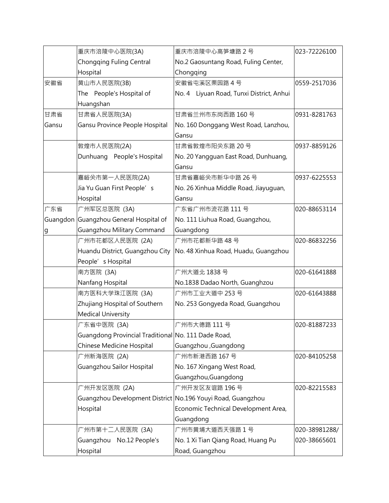|       | 重庆市涪陵中心医院(3A)                                               | 重庆市涪陵中心高笋塘路2号                            | 023-72226100  |
|-------|-------------------------------------------------------------|------------------------------------------|---------------|
|       | Chongqing Fuling Central                                    | No.2 Gaosuntang Road, Fuling Center,     |               |
|       | Hospital                                                    | Chongqing                                |               |
| 安徽省   | 黄山市人民医院(3B)                                                 | 安徽省屯溪区栗园路4号                              | 0559-2517036  |
|       | The People's Hospital of                                    | No. 4 Liyuan Road, Tunxi District, Anhui |               |
|       | Huangshan                                                   |                                          |               |
| 甘肃省   | 甘肃省人民医院(3A)                                                 | 甘肃省兰州市东岗西路 160号                          | 0931-8281763  |
| Gansu | Gansu Province People Hospital                              | No. 160 Donggang West Road, Lanzhou,     |               |
|       |                                                             | Gansu                                    |               |
|       | 敦煌市人民医院(2A)                                                 | 甘肃省敦煌市阳关东路 20号                           | 0937-8859126  |
|       | Dunhuang People's Hospital                                  | No. 20 Yangguan East Road, Dunhuang,     |               |
|       |                                                             | Gansu                                    |               |
|       | 嘉峪关市第一人民医院(2A)                                              | 甘肃省嘉峪关市新华中路 26号                          | 0937-6225553  |
|       | Jia Yu Guan First People's                                  | No. 26 Xinhua Middle Road, Jiayuguan,    |               |
|       | Hospital                                                    | Gansu                                    |               |
| 广东省   | 广州军区总医院 (3A)                                                | 广东省广州市流花路 111号                           | 020-88653114  |
|       | Guangdon Guangzhou General Hospital of                      | No. 111 Liuhua Road, Guangzhou,          |               |
| g     | Guangzhou Military Command                                  | Guangdong                                |               |
|       | 广州市花都区人民医院 (2A)                                             | 广州市花都新华路 48号                             | 020-86832256  |
|       | Huandu District, Guangzhou City                             | No. 48 Xinhua Road, Huadu, Guangzhou     |               |
|       | People's Hospital                                           |                                          |               |
|       | 南方医院 (3A)                                                   | 广州大道北 1838号                              | 020-61641888  |
|       | Nanfang Hospital                                            | No.1838 Dadao North, Guanghzou           |               |
|       | 南方医科大学珠江医院 (3A)                                             | 广州市工业大道中 253号                            | 020-61643888  |
|       | Zhujiang Hospital of Southern                               | No. 253 Gongyeda Road, Guangzhou         |               |
|       | <b>Medical University</b>                                   |                                          |               |
|       | 广东省中医院 (3A)                                                 | 广州市大德路 111号                              | 020-81887233  |
|       | Guangdong Provincial Traditional No. 111 Dade Road,         |                                          |               |
|       | Chinese Medicine Hospital                                   | Guangzhou , Guangdong                    |               |
|       | 广州新海医院 (2A)                                                 | 广州市新港西路 167号                             | 020-84105258  |
|       | Guangzhou Sailor Hospital                                   | No. 167 Xingang West Road,               |               |
|       |                                                             | Guangzhou, Guangdong                     |               |
|       | 广州开发区医院 (2A)                                                | 广州开发区友谊路 196号                            | 020-82215583  |
|       | Guangzhou Development District No.196 Youyi Road, Guangzhou |                                          |               |
|       | Hospital                                                    | Economic Technical Development Area,     |               |
|       |                                                             | Guangdong                                |               |
|       | 广州市第十二人民医院 (3A)                                             | 广州市黄埔大道西天强路1号                            | 020-38981288/ |
|       | Guangzhou No.12 People's                                    | No. 1 Xi Tian Qiang Road, Huang Pu       | 020-38665601  |
|       | Hospital                                                    | Road, Guangzhou                          |               |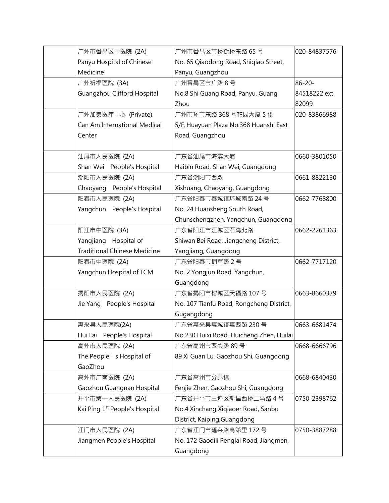| 广州市番禺区中医院 (2A)                             | 广州市番禺区市桥街桥东路 65 号                        | 020-84837576 |
|--------------------------------------------|------------------------------------------|--------------|
| Panyu Hospital of Chinese                  | No. 65 Qiaodong Road, Shiqiao Street,    |              |
| Medicine                                   | Panyu, Guangzhou                         |              |
| 广州祈福医院 (3A)                                | 广州番禺区市广路8号                               | 86-20-       |
| Guangzhou Clifford Hospital                | No.8 Shi Guang Road, Panyu, Guang        | 84518222 ext |
|                                            | Zhou                                     | 82099        |
| 广州加美医疗中心 (Private)                         | 广州市环市东路 368 号花园大厦 5 楼                    | 020-83866988 |
| Can Am International Medical               | 5/F, Huayuan Plaza No.368 Huanshi East   |              |
| Center                                     | Road, Guangzhou                          |              |
|                                            |                                          |              |
| 汕尾市人民医院 (2A)                               | 广东省汕尾市海滨大道                               | 0660-3801050 |
| Shan Wei People's Hospital                 | Haibin Road, Shan Wei, Guangdong         |              |
| 潮阳市人民医院 (2A)                               | 广东省潮阳市西双                                 | 0661-8822130 |
| Chaoyang People's Hospital                 | Xishuang, Chaoyang, Guangdong            |              |
| 阳春市人民医院 (2A)                               | 广东省阳春市春城镇环城南路 24 号                       | 0662-7768800 |
| Yangchun People's Hospital                 | No. 24 Huansheng South Road,             |              |
|                                            | Chunschengzhen, Yangchun, Guangdong      |              |
| 阳江市中医院 (3A)                                | 广东省阳江市江城区石湾北路                            | 0662-2261363 |
| Yangjiang Hospital of                      | Shiwan Bei Road, Jiangcheng District,    |              |
| <b>Traditional Chinese Medicine</b>        | Yangjiang, Guangdong                     |              |
| 阳春市中医院 (2A)                                | 广东省阳春市拥军路 2号                             | 0662-7717120 |
| Yangchun Hospital of TCM                   | No. 2 Yongjun Road, Yangchun,            |              |
|                                            | Guangdong                                |              |
| 揭阳市人民医院 (2A)                               | 广东省揭阳市榕城区天福路 107号                        | 0663-8660379 |
| Jie Yang People's Hospital                 | No. 107 Tianfu Road, Rongcheng District, |              |
|                                            | Gugangdong                               |              |
| 惠来县人民医院(2A)                                | 广东省惠来县惠城镇惠西路 230号                        | 0663-6681474 |
| Hui Lai People's Hospital                  | No.230 Huixi Road, Huicheng Zhen, Huilai |              |
| 高州市人民医院 (2A)                               | 广东省高州市西关路 89号                            | 0668-6666796 |
| The People's Hospital of                   | 89 Xi Guan Lu, Gaozhou Shi, Guangdong    |              |
| GaoZhou                                    |                                          |              |
| 高州市广南医院 (2A)                               | 广东省高州市分界镇                                | 0668-6840430 |
| Gaozhou Guangnan Hospital                  | Fenjie Zhen, Gaozhou Shi, Guangdong      |              |
| 开平市第一人民医院 (2A)                             | 广东省开平市三埠区新昌西桥二马路4号                       | 0750-2398762 |
| Kai Ping 1 <sup>st</sup> People's Hospital | No.4 Xinchang Xiqiaoer Road, Sanbu       |              |
|                                            | District, Kaiping, Guangdong             |              |
| 江门市人民医院 (2A)                               | 广东省江门市蓬莱路高第里 172号                        | 0750-3887288 |
| Jiangmen People's Hospital                 | No. 172 Gaodili Penglai Road, Jiangmen,  |              |
|                                            | Guangdong                                |              |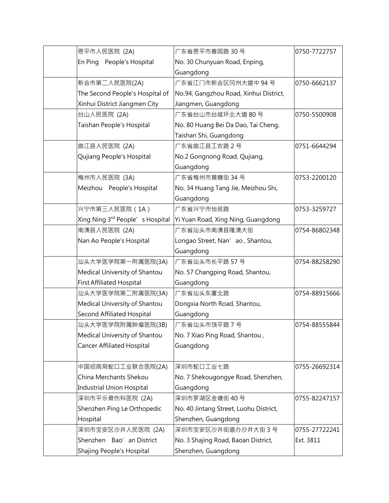| 恩平市人民医院 (2A)                      | 广东省恩平市春园路 30号                          | 0750-7722757  |
|-----------------------------------|----------------------------------------|---------------|
| En Ping People's Hospital         | No. 30 Chunyuan Road, Enping,          |               |
|                                   | Guangdong                              |               |
| 新会市第二人民医院(2A)                     | 广东省江门市新会区冈州大道中 94号                     | 0750-6662137  |
| The Second People's Hospital of   | No.94, Gangzhou Road, Xinhui District, |               |
| Xinhui District Jiangmen City     | Jiangmen, Guangdong                    |               |
| 台山人民医院 (2A)                       | 广东省台山市台城环北大道 80号                       | 0750-5500908  |
| Taishan People's Hospital         | No. 80 Huang Bei Da Dao, Tai Cheng,    |               |
|                                   | Taishan Shi, Guangdong                 |               |
| 曲江县人民医院 (2A)                      | 广东省曲江县工农路2号                            | 0751-6644294  |
| Qujiang People's Hospital         | No.2 Gongnong Road, Qujiang,           |               |
|                                   | Guangdong                              |               |
| 梅州市人民医院 (3A)                      | 广东省梅州市黄糖街 34号                          | 0753-2200120  |
| Meizhou People's Hospital         | No. 34 Huang Tang Jie, Meizhou Shi,    |               |
|                                   | Guangdong                              |               |
| 兴宁市第三人民医院 (1A)                    | 广东省兴宁市怡苑路                              | 0753-3259727  |
| Xing Ning 3rd People's Hospital   | Yi Yuan Road, Xing Ning, Guangdong     |               |
| 南澳县人民医院 (2A)                      | 广东省汕头市南澳县隆澳大街                          | 0754-86802348 |
| Nan Ao People's Hospital          | Longao Street, Nan' ao, Shantou,       |               |
|                                   | Guangdong                              |               |
| 汕头大学医学院第一附属医院(3A)                 | 广东省汕头市长平路 57号                          | 0754-88258290 |
| Medical University of Shantou     | No. 57 Changping Road, Shantou,        |               |
| <b>First Affiliated Hospital</b>  | Guangdong                              |               |
| 汕头大学医学院第二附属医院(3A)                 | 广东省汕头东厦北路                              | 0754-88915666 |
| Medical University of Shantou     | Dongxia North Road, Shantou,           |               |
| Second Affiliated Hospital        | Guangdong                              |               |
| 汕头大学医学院附属肿瘤医院(3B)                 | 广东省汕头市饶平路 7号                           | 0754-88555844 |
| Medical University of Shantou     | No. 7 Xiao Ping Road, Shantou,         |               |
| <b>Cancer Affiliated Hospital</b> | Guangdong                              |               |
|                                   |                                        |               |
| 中国招商局蛇口工业联合医院(2A)                 | 深圳市蛇口工业七路                              | 0755-26692314 |
| China Merchants Shekou            | No. 7 Shekougongye Road, Shenzhen,     |               |
| Industrial Union Hospital         | Guangdong                              |               |
| 深圳市平乐骨伤科医院 (2A)                   | 深圳市罗湖区金塘街 40号                          | 0755-82247157 |
| Shenzhen Ping Le Orthopedic       | No. 40 Jintang Street, Luohu District, |               |
| Hospital                          | Shenzhen, Guangdong                    |               |
| 深圳市宝安区沙井人民医院 (2A)                 | 深圳市宝安区沙井街道办沙井大街 3号                     | 0755-27722241 |
| Shenzhen Bao' an District         | No. 3 Shajing Road, Baoan District,    | Ext. 3811     |
| Shajing People's Hospital         | Shenzhen, Guangdong                    |               |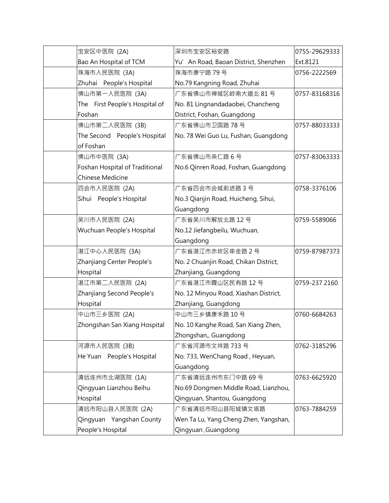| 宝安区中医院 (2A)                    | 深圳市宝安区裕安路                             | 0755-29629333 |
|--------------------------------|---------------------------------------|---------------|
| Bao An Hospital of TCM         | Yu' An Road, Baoan District, Shenzhen | Ext.8121      |
| 珠海市人民医院 (3A)                   | 珠海市康宁路 79号                            | 0756-2222569  |
| Zhuhai People's Hospital       | No.79 Kangning Road, Zhuhai           |               |
| 佛山市第一人民医院 (3A)                 | 广东省佛山市禅城区岭南大道北 81号                    | 0757-83168316 |
| The First People's Hospital of | No. 81 Lingnandadaobei, Chancheng     |               |
| Foshan                         | District, Foshan, Guangdong           |               |
| 佛山市第二人民医院 (3B)                 | 广东省佛山市卫国路 78号                         | 0757-88033333 |
| The Second People's Hospital   | No. 78 Wei Guo Lu, Fushan, Guangdong  |               |
| of Foshan                      |                                       |               |
| 佛山市中医院 (3A)                    | 广东省佛山市亲仁路6号                           | 0757-83063333 |
| Foshan Hospital of Traditional | No.6 Qinren Road, Foshan, Guangdong   |               |
| Chinese Medicine               |                                       |               |
| 四会市人民医院 (2A)                   | 广东省四会市会城前进路3号                         | 0758-3376106  |
| Sihui People's Hospital        | No.3 Qianjin Road, Huicheng, Sihui,   |               |
|                                | Guangdong                             |               |
| 吴川市人民医院 (2A)                   | 广东省吴川市解放北路 12号                        | 0759-5589066  |
| Wuchuan People's Hospital      | No.12 Jiefangbeilu, Wuchuan,          |               |
|                                | Guangdong                             |               |
| 湛江中心人民医院 (3A)                  | 广东省湛江市赤坎区串金路2号                        | 0759-87987373 |
| Zhanjiang Center People's      | No. 2 Chuanjin Road, Chikan District, |               |
| Hospital                       | Zhanjiang, Guangdong                  |               |
| 湛江市第二人民医院 (2A)                 | 广东省湛江市霞山区民有路 12号                      | 0759-237 2160 |
| Zhanjiang Second People's      | No. 12 Minyou Road, Xiashan District, |               |
| Hospital                       | Zhanjiang, Guangdong                  |               |
| 中山市三乡医院 (2A)                   | 中山市三乡镇康禾路10号                          | 0760-6684263  |
| Zhongshan San Xiang Hospital   | No. 10 Kanghe Road, San Xiang Zhen,   |               |
|                                | Zhongshan,, Guangdong                 |               |
| 河源市人民医院 (3B)                   | 广东省河源市文祥路 733号                        | 0762-3185296  |
| He Yuan People's Hospital      | No. 733, WenChang Road, Heyuan,       |               |
|                                | Guangdong                             |               |
| 清远连州市北湖医院 (1A)                 | 广东省清远连州市东门中路 69号                      | 0763-6625920  |
| Qingyuan Lianzhou Beihu        | No.69 Dongmen Middle Road, Lianzhou,  |               |
| Hospital                       | Qingyuan, Shantou, Guangdong          |               |
| 清远市阳山县人民医院 (2A)                | 广东省清远市阳山县阳城镇文塔路                       | 0763-7884259  |
| Qingyuan Yangshan County       | Wen Ta Lu, Yang Cheng Zhen, Yangshan, |               |
| People's Hospital              | Qingyuan, Guangdong                   |               |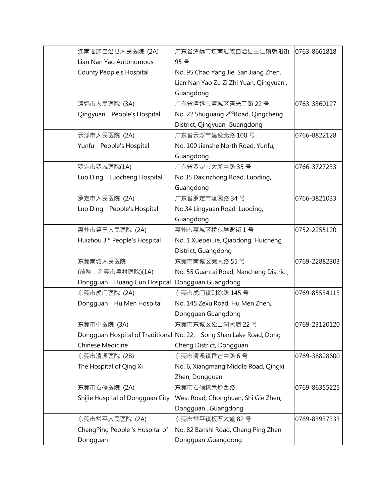| 连南瑶族自治县人民医院 (2A)                          | 广东省清远市连南瑶族自治县三江镇朝阳街                                                | 0763-8661818  |
|-------------------------------------------|--------------------------------------------------------------------|---------------|
| Lian Nan Yao Autonomous                   | 95 号                                                               |               |
| County People's Hospital                  | No. 95 Chao Yang Jie, San Jiang Zhen,                              |               |
|                                           | Lian Nan Yao Zu Zi Zhi Yuan, Qingyuan,                             |               |
|                                           | Guangdong                                                          |               |
| 清远市人民医院 (3A)                              | 广东省清远市清城区曙光二路 22号                                                  | 0763-3360127  |
| Qingyuan People's Hospital                | No. 22 Shuguang 2 <sup>nd</sup> Road, Qingcheng                    |               |
|                                           | District, Qingyuan, Guangdong                                      |               |
| 云浮市人民医院 (2A)                              | 广东省云浮市建设北路 100号                                                    | 0766-8822128  |
| Yunfu People's Hospital                   | No. 100 Jianshe North Road, Yunfu,                                 |               |
|                                           | Guangdong                                                          |               |
| 罗定市罗城医院(1A)                               | 广东省罗定市大新中路 35号                                                     | 0766-3727233  |
| Luo Ding Luocheng Hospital                | No.35 Daxinzhong Road, Luoding,                                    |               |
|                                           | Guangdong                                                          |               |
| 罗定市人民医院 (2A)                              | 广东省罗定市陵园路 34号                                                      | 0766-3821033  |
| Luo Ding People's Hospital                | No.34 Lingyuan Road, Luoding,                                      |               |
|                                           | Guangdong                                                          |               |
| 惠州市第三人民医院 (2A)                            | 惠州市惠城区桥东学背街1号                                                      | 0752-2255120  |
| Huizhou 3 <sup>rd</sup> People's Hospital | No. 1 Xuepei Jie, Qiaodong, Huicheng                               |               |
|                                           | District, Guangdong                                                |               |
| 东莞南城人民医院                                  | 东莞市南城区莞太路 55号                                                      | 0769-22882303 |
| (前称:东莞市篁村医院)(1A)                          | No. 55 Guantai Road, Nancheng District,                            |               |
| Dongguan Huang Cun Hospital               | Dongguan Guangdong                                                 |               |
| 东莞市虎门医院 (2A)                              | 东莞市虎门镇则徐路 145号                                                     | 0769-85534113 |
| Dongguan Hu Men Hospital                  | No. 145 Zexu Road, Hu Men Zhen,                                    |               |
|                                           | Dongguan Guangdong                                                 |               |
| 东莞市中医院 (3A)                               | 东莞市东城区松山湖大道 22号                                                    | 0769-23120120 |
|                                           | Dongguan Hospital of Traditional No. 22, Song Shan Lake Road, Dong |               |
| <b>Chinese Medicine</b>                   | Cheng District, Dongguan                                           |               |
| 东莞市清溪医院 (2B)                              | 东莞市清溪镇香芒中路6号                                                       | 0769-38828600 |
| The Hospital of Qing Xi                   | No. 6, Xiangmang Middle Road, Qingxi                               |               |
|                                           | Zhen, Dongguan                                                     |               |
| 东莞市石碣医院 (2A)                              | 东莞市石碣镇崇焕西路                                                         | 0769-86355225 |
| Shijie Hospital of Dongguan City          | West Road, Chonghuan, Shi Gie Zhen,                                |               |
|                                           | Dongguan, Guangdong                                                |               |
| 东莞市常平人民医院 (2A)                            | 东莞市常平镇板石大道 82号                                                     | 0769-83937333 |
| ChangPing People 's Hospital of           | No. 82 Banshi Road, Chang Ping Zhen,                               |               |
| Dongguan                                  | Dongguan, Guangdong                                                |               |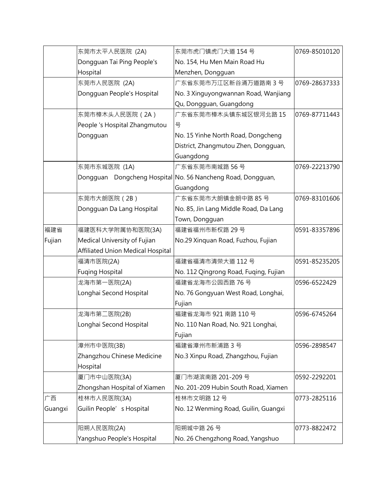|         | 东莞市太平人民医院 (2A)                    | 东莞市虎门镇虎门大道 154号                                             | 0769-85010120 |
|---------|-----------------------------------|-------------------------------------------------------------|---------------|
|         | Dongguan Tai Ping People's        | No. 154, Hu Men Main Road Hu                                |               |
|         | Hospital                          | Menzhen, Dongguan                                           |               |
|         | 东莞市人民医院 (2A)                      | 广东省东莞市万江区新谷涌万道路南3号                                          | 0769-28637333 |
|         | Dongguan People's Hospital        | No. 3 Xinguyongwannan Road, Wanjiang                        |               |
|         |                                   | Qu, Dongguan, Guangdong                                     |               |
|         | 东莞市樟木头人民医院 (2A)                   | 广东省东莞市樟木头镇东城区银河北路 15                                        | 0769-87711443 |
|         | People 's Hospital Zhangmutou     | 뮥                                                           |               |
|         | Dongguan                          | No. 15 Yinhe North Road, Dongcheng                          |               |
|         |                                   | District, Zhangmutou Zhen, Dongguan,                        |               |
|         |                                   | Guangdong                                                   |               |
|         | 东莞市东城医院 (1A)                      | 广东省东莞市南城路 56号                                               | 0769-22213790 |
|         |                                   | Dongguan Dongcheng Hospital No. 56 Nancheng Road, Dongguan, |               |
|         |                                   | Guangdong                                                   |               |
|         | 东莞市大朗医院 (2B)                      | 广东省东莞市大朗镇金朗中路 85号                                           | 0769-83101606 |
|         | Dongguan Da Lang Hospital         | No. 85, Jin Lang Middle Road, Da Lang                       |               |
|         |                                   | Town, Dongguan                                              |               |
| 福建省     | 福建医科大学附属协和医院(3A)                  | 福建省福州市新权路 29号                                               | 0591-83357896 |
| Fujian  | Medical University of Fujian      | No.29 Xinquan Road, Fuzhou, Fujian                          |               |
|         | Affiliated Union Medical Hospital |                                                             |               |
|         | 福清市医院(2A)                         | 福建省福清市清荣大道 112号                                             | 0591-85235205 |
|         | <b>Fuging Hospital</b>            | No. 112 Qingrong Road, Fuqing, Fujian                       |               |
|         | 龙海市第一医院(2A)                       | 福建省龙海市公园西路 76号                                              | 0596-6522429  |
|         | Longhai Second Hospital           | No. 76 Gongyuan West Road, Longhai,                         |               |
|         |                                   | Fujian                                                      |               |
|         | 龙海市第二医院(2B)                       | 福建省龙海市 921 南路 110号                                          | 0596-6745264  |
|         | Longhai Second Hospital           | No. 110 Nan Road, No. 921 Longhai,                          |               |
|         |                                   | Fujian                                                      |               |
|         | 漳州市中医院(3B)                        | 福建省漳州市新浦路 3号                                                | 0596-2898547  |
|         | Zhangzhou Chinese Medicine        | No.3 Xinpu Road, Zhangzhou, Fujian                          |               |
|         | Hospital                          |                                                             |               |
|         | 厦门市中山医院(3A)                       | 厦门市湖滨南路 201-209号                                            | 0592-2292201  |
|         | Zhongshan Hospital of Xiamen      | No. 201-209 Hubin South Road, Xiamen                        |               |
| 广西      | 桂林市人民医院(3A)                       | 桂林市文明路 12号                                                  | 0773-2825116  |
| Guangxi | Guilin People's Hospital          | No. 12 Wenming Road, Guilin, Guangxi                        |               |
|         | 阳朔人民医院(2A)                        | 阳朔城中路 26号                                                   | 0773-8822472  |
|         | Yangshuo People's Hospital        | No. 26 Chengzhong Road, Yangshuo                            |               |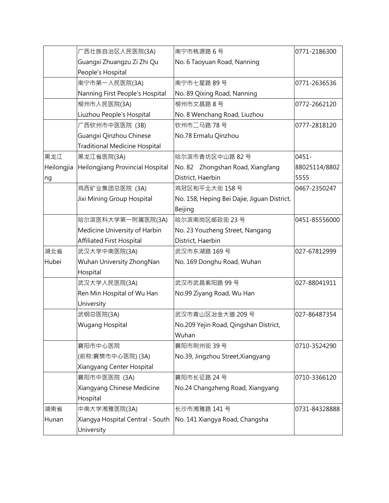|            | 广西壮族自治区人民医院(3A)                  | 南宁市桃源路6号                                                          | 0771-2186300  |
|------------|----------------------------------|-------------------------------------------------------------------|---------------|
|            | Guangxi Zhuangzu Zi Zhi Qu       | No. 6 Taoyuan Road, Nanning                                       |               |
|            | People's Hospital                |                                                                   |               |
|            | 南宁市第一人民医院(3A)                    | 南宁市七星路 89号                                                        | 0771-2636536  |
|            | Nanning First People's Hospital  | No. 89 Qixing Road, Nanning                                       |               |
|            | 柳州市人民医院(3A)                      | 柳州市文昌路8号                                                          | 0772-2662120  |
|            | Liuzhou People's Hospital        | No. 8 Wenchang Road, Liuzhou                                      |               |
|            | 广西钦州市中医医院 (3B)                   | 钦州市二马路 78号                                                        | 0777-2818120  |
|            | Guangxi Qinzhou Chinese          | No.78 Ermalu Qinzhou                                              |               |
|            | Traditional Medicine Hospital    |                                                                   |               |
| 黑龙江        | 黑龙江省医院(3A)                       | 哈尔滨市香坊区中山路 82号                                                    | $0451 -$      |
| Heilongjia | Heilongjiang Provincial Hospital | No. 82 Zhongshan Road, Xiangfang                                  | 88025114/8802 |
| ng         |                                  | District, Haerbin                                                 | 5555          |
|            | 鸡西矿业集团总医院 (3A)                   | 鸡冠区和平北大街 158号                                                     | 0467-2350247  |
|            | Jixi Mining Group Hospital       | No. 158, Heping Bei Dajie, Jiguan District,                       |               |
|            |                                  | Beijing                                                           |               |
|            | 哈尔滨医科大学第一附属医院(3A)                | 哈尔滨南岗区邮政街 23号                                                     | 0451-85556000 |
|            | Medicine University of Harbin    | No. 23 Youzheng Street, Nangang                                   |               |
|            | <b>Affiliated First Hospital</b> | District, Haerbin                                                 |               |
| 湖北省        | 武汉大学中南医院(3A)                     | 武汉市东湖路 169号                                                       | 027-67812999  |
| Hubei      | Wuhan University ZhongNan        | No. 169 Donghu Road, Wuhan                                        |               |
|            | Hospital                         |                                                                   |               |
|            | 武汉大学人民医院(3A)                     | 武汉市武昌紫阳路 99号                                                      | 027-88041911  |
|            | Ren Min Hospital of Wu Han       | No.99 Ziyang Road, Wu Han                                         |               |
|            | University                       |                                                                   |               |
|            | 武钢总医院(3A)                        | 武汉市青山区冶金大道 209号                                                   | 027-86487354  |
|            | Wugang Hospital                  | No.209 Yejin Road, Qingshan District,                             |               |
|            |                                  | Wuhan                                                             |               |
|            | 襄阳市中心医院                          | 襄阳市荆州街 39号                                                        | 0710-3524290  |
|            | (前称:襄樊市中心医院) (3A)                | No.39, Jingzhou Street, Xiangyang                                 |               |
|            | Xiangyang Center Hospital        |                                                                   |               |
|            | 襄阳市中医医院 (3A)                     | 襄阳市长征路 24号                                                        | 0710-3366120  |
|            | Xiangyang Chinese Medicine       | No.24 Changzheng Road, Xiangyang                                  |               |
|            | Hospital                         |                                                                   |               |
| 湖南省        | 中南大学湘雅医院(3A)                     | 长沙市湘雅路 141号                                                       | 0731-84328888 |
| Hunan      |                                  | Xiangya Hospital Central - South   No. 141 Xiangya Road, Changsha |               |
|            | University                       |                                                                   |               |
|            |                                  |                                                                   |               |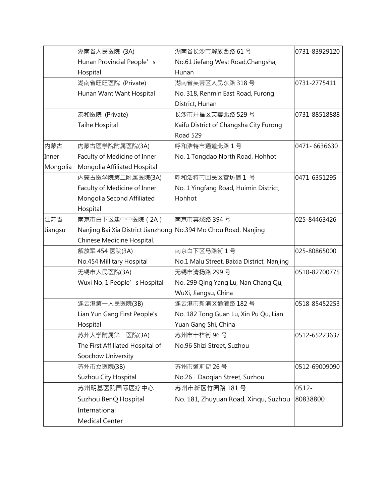|          | 湖南省人民医院 (3A)                                                    | 湖南省长沙市解放西路 61号                             | 0731-83929120 |
|----------|-----------------------------------------------------------------|--------------------------------------------|---------------|
|          | Hunan Provincial People's                                       | No.61 Jiefang West Road, Changsha,         |               |
|          | Hospital                                                        | Hunan                                      |               |
|          | 湖南省旺旺医院 (Private)                                               | 湖南省芙蓉区人民东路 318号                            | 0731-2775411  |
|          | Hunan Want Want Hospital                                        | No. 318, Renmin East Road, Furong          |               |
|          |                                                                 | District, Hunan                            |               |
|          | 泰和医院 (Private)                                                  | 长沙市开福区芙蓉北路 529号                            | 0731-88518888 |
|          | Taihe Hospital                                                  | Kaifu District of Changsha City Furong     |               |
|          |                                                                 | Road 529                                   |               |
| 内蒙古      | 内蒙古医学院附属医院(3A)                                                  | 呼和浩特市通道北路1号                                | 0471-6636630  |
| Inner    | Faculty of Medicine of Inner                                    | No. 1 Tongdao North Road, Hohhot           |               |
| Mongolia | Mongolia Affiliated Hospital                                    |                                            |               |
|          | 内蒙古医学院第二附属医院(3A)                                                | 呼和浩特市回民区营坊道 1 号                            | 0471-6351295  |
|          | Faculty of Medicine of Inner                                    | No. 1 Yingfang Road, Huimin District,      |               |
|          | Mongolia Second Affiliated                                      | Hohhot                                     |               |
|          | Hospital                                                        |                                            |               |
| 江苏省      | 南京市白下区建中中医院 (2A)                                                | 南京市莫愁路 394号                                | 025-84463426  |
| Jiangsu  | Nanjing Bai Xia District Jianzhong No.394 Mo Chou Road, Nanjing |                                            |               |
|          | Chinese Medicine Hospital.                                      |                                            |               |
|          | 解放军 454 医院(3A)                                                  | 南京白下区马路街1号                                 | 025-80865000  |
|          | No.454 Millitary Hospital                                       | No.1 Malu Street, Baixia District, Nanjing |               |
|          | 无锡市人民医院(3A)                                                     | 无锡市清扬路 299号                                | 0510-82700775 |
|          | Wuxi No. 1 People's Hospital                                    | No. 299 Qing Yang Lu, Nan Chang Qu,        |               |
|          |                                                                 | WuXi, Jiangsu, China                       |               |
|          | 连云港第一人民医院(3B)                                                   | 连云港市新浦区通灌路 182号                            | 0518-85452253 |
|          | Lian Yun Gang First People's                                    | No. 182 Tong Guan Lu, Xin Pu Qu, Lian      |               |
|          | Hospital                                                        | Yuan Gang Shi, China                       |               |
|          | 苏州大学附属第一医院(3A)                                                  | 苏州市十梓街 96号                                 | 0512-65223637 |
|          | The First Affiliated Hospital of                                | No.96 Shizi Street, Suzhou                 |               |
|          | Soochow University                                              |                                            |               |
|          | 苏州市立医院(3B)                                                      | 苏州市道前街 26号                                 | 0512-69009090 |
|          | Suzhou City Hospital                                            | No.26 · Daoqian Street, Suzhou             |               |
|          | 苏州明基医院国际医疗中心                                                    | 苏州市新区竹园路 181号                              | $ 0512 -$     |
|          | Suzhou BenQ Hospital                                            | No. 181, Zhuyuan Road, Xinqu, Suzhou       | 80838800      |
|          | International                                                   |                                            |               |
|          | Medical Center                                                  |                                            |               |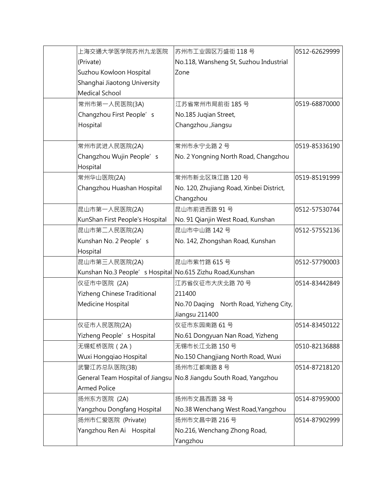| 上海交通大学医学院苏州九龙医院                                           | 苏州市工业园区万盛街 118 号                                                   | 0512-62629999 |
|-----------------------------------------------------------|--------------------------------------------------------------------|---------------|
| (Private)                                                 | No.118, Wansheng St, Suzhou Industrial                             |               |
| Suzhou Kowloon Hospital                                   | Zone                                                               |               |
| Shanghai Jiaotong University                              |                                                                    |               |
| <b>Medical School</b>                                     |                                                                    |               |
| 常州市第一人民医院(3A)                                             | 江苏省常州市局前街 185号                                                     | 0519-68870000 |
| Changzhou First People's                                  | No.185 Juqian Street,                                              |               |
| Hospital                                                  | Changzhou ,Jiangsu                                                 |               |
|                                                           |                                                                    |               |
| 常州市武进人民医院(2A)                                             | 常州市永宁北路2号                                                          | 0519-85336190 |
| Changzhou Wujin People's                                  | No. 2 Yongning North Road, Changzhou                               |               |
| Hospital                                                  |                                                                    |               |
| 常州华山医院(2A)                                                | 常州市新北区珠江路 120号                                                     | 0519-85191999 |
| Changzhou Huashan Hospital                                | No. 120, Zhujiang Road, Xinbei District,                           |               |
|                                                           | Changzhou                                                          |               |
| 昆山市第一人民医院(2A)                                             | 昆山市前进西路 91号                                                        | 0512-57530744 |
| KunShan First People's Hospital                           | No. 91 Qianjin West Road, Kunshan                                  |               |
| 昆山市第二人民医院(2A)                                             | 昆山市中山路 142号                                                        | 0512-57552136 |
| Kunshan No. 2 People's                                    | No. 142, Zhongshan Road, Kunshan                                   |               |
| Hospital                                                  |                                                                    |               |
| 昆山市第三人民医院(2A)                                             | 昆山市紫竹路 615号                                                        | 0512-57790003 |
| Kunshan No.3 People's Hospital No.615 Zizhu Road, Kunshan |                                                                    |               |
| 仪征市中医院 (2A)                                               | 江苏省仪征市大庆北路 70号                                                     | 0514-83442849 |
| Yizheng Chinese Traditional                               | 211400                                                             |               |
| Medicine Hospital                                         | No.70 Daqing North Road, Yizheng City,                             |               |
|                                                           | Jiangsu 211400                                                     |               |
| 仪征市人民医院(2A)                                               | 仪征市东园南路 61号                                                        | 0514-83450122 |
| Yizheng People's Hospital                                 | No.61 Dongyuan Nan Road, Yizheng                                   |               |
| 无锡虹桥医院 (2A)                                               | 无锡市长江北路 150号                                                       | 0510-82136888 |
| Wuxi Honggiao Hospital                                    | No.150 Changjiang North Road, Wuxi                                 |               |
| 武警江苏总队医院(3B)                                              | 扬州市江都南路8号                                                          | 0514-87218120 |
|                                                           | General Team Hospital of Jiangsu No.8 Jiangdu South Road, Yangzhou |               |
| <b>Armed Police</b>                                       |                                                                    |               |
| 扬州东方医院 (2A)                                               | 扬州市文昌西路 38号                                                        | 0514-87959000 |
| Yangzhou Dongfang Hospital                                | No.38 Wenchang West Road, Yangzhou                                 |               |
| 扬州市仁爱医院 (Private)                                         | 扬州市文昌中路 216号                                                       | 0514-87902999 |
| Yangzhou Ren Ai Hospital                                  | No.216, Wenchang Zhong Road,                                       |               |
|                                                           | Yangzhou                                                           |               |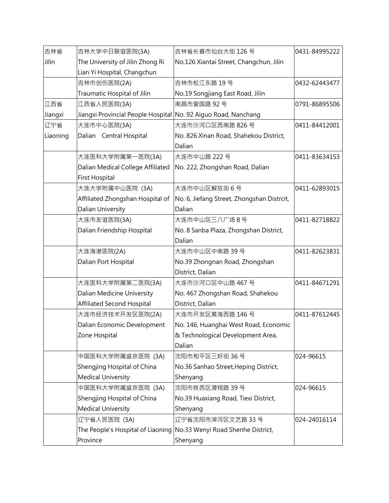| 吉林省      | 吉林大学中日联谊医院(3A)                                                 | 吉林省长春市仙台大街 126号                                                     | 0431-84995222 |
|----------|----------------------------------------------------------------|---------------------------------------------------------------------|---------------|
| Jilin    | The University of Jilin Zhong Ri                               | No.126 Xiantai Street, Changchun, Jilin                             |               |
|          | Lian Yi Hospital, Changchun                                    |                                                                     |               |
|          | 吉林市创伤医院(2A)                                                    | 吉林市松江东路 19号                                                         | 0432-62443477 |
|          | Traumatic Hospital of Jilin                                    | No.19 Songjiang East Road, Jilin                                    |               |
| 江西省      | 江西省人民医院(3A)                                                    | 南昌市爱国路 92号                                                          | 0791-86895506 |
| Jiangxi  | Jiangxi Provincial People Hospital No. 92 Aiguo Road, Nanchang |                                                                     |               |
| 辽宁省      | 大连市中心医院(3A)                                                    | 大连市沙河口区西南路 826号                                                     | 0411-84412001 |
| Liaoning | Dalian Central Hospital                                        | No. 826 Xinan Road, Shahekou District,                              |               |
|          |                                                                | Dalian                                                              |               |
|          | 大连医科大学附属第一医院(3A)                                               | 大连市中山路 222号                                                         | 0411-83634153 |
|          |                                                                | Dalian Medical College Affiliated No. 222, Zhongshan Road, Dalian   |               |
|          | <b>First Hospital</b>                                          |                                                                     |               |
|          | 大连大学附属中山医院 (3A)                                                | 大连市中山区解放街6号                                                         | 0411-62893015 |
|          | Affiliated Zhongshan Hospital of                               | No. 6, Jiefang Street, Zhongshan Distrcit,                          |               |
|          | Dalian University                                              | Dalian                                                              |               |
|          | 大连市友谊医院(3A)                                                    | 大连市中山区三八广场8号                                                        | 0411-82718822 |
|          | Dalian Friendship Hospital                                     | No. 8 Sanba Plaza, Zhongshan District,                              |               |
|          |                                                                | Dalian                                                              |               |
|          | 大连海港医院(2A)                                                     | 大连市中山区中南路 39号                                                       | 0411-82623831 |
|          | Dalian Port Hospital                                           | No.39 Zhongnan Road, Zhongshan                                      |               |
|          |                                                                | District, Dalian                                                    |               |
|          | 大连医科大学附属第二医院(3A)                                               | 大连市沙河口区中山路 467号                                                     | 0411-84671291 |
|          | Dalian Medicine University                                     | No. 467 Zhongshan Road, Shahekou                                    |               |
|          | <b>Affiliated Second Hospital</b>                              | District, Dalian                                                    |               |
|          | 大连市经济技术开发区医院(2A)                                               | 大连市开发区黄海西路 146号                                                     | 0411-87612445 |
|          | Dalian Economic Development                                    | No. 146, Huanghai West Road, Economic                               |               |
|          | Zone Hospital                                                  | & Technological Development Area,                                   |               |
|          |                                                                | Dalian                                                              |               |
|          | 中国医科大学附属盛京医院 (3A)                                              | 沈阳市和平区三好街 36 号                                                      | 024-96615     |
|          | Shengjing Hospital of China                                    | No.36 Sanhao Street, Heping District,                               |               |
|          | <b>Medical University</b>                                      | Shenyang                                                            |               |
|          | 中国医科大学附属盛京医院 (3A)                                              | 沈阳市铁西区滑翔路 39号                                                       | 024-96615     |
|          | Shengjing Hospital of China                                    | No.39 Huaxiang Road, Tiexi District,                                |               |
|          | <b>Medical University</b>                                      | Shenyang                                                            |               |
|          | 辽宁省人民医院 (3A)                                                   | 辽宁省沈阳市渖河区文艺路 33号                                                    | 024-24016114  |
|          |                                                                | The People's Hospital of Liaoning No.33 Wenyi Road Shenhe District, |               |
|          | Province                                                       | Shenyang                                                            |               |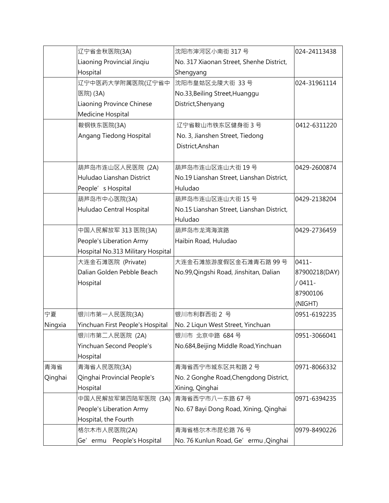|         | 辽宁省金秋医院(3A)                            | 沈阳市渖河区小南街 317号                                        | 024-24113438  |
|---------|----------------------------------------|-------------------------------------------------------|---------------|
|         | Liaoning Provincial Jinqiu<br>Hospital | No. 317 Xiaonan Street, Shenhe District,<br>Shengyang |               |
|         | 辽宁中医药大学附属医院(辽宁省中                       | 沈阳市皇姑区北陵大街 33号                                        | 024-31961114  |
|         |                                        |                                                       |               |
|         | 医院) (3A)                               | No.33, Beiling Street, Huanggu                        |               |
|         | Liaoning Province Chinese              | District, Shenyang                                    |               |
|         | Medicine Hospital                      |                                                       |               |
|         | 鞍钢铁东医院(3A)                             | 辽宁省鞍山市铁东区健身街3号                                        | 0412-6311220  |
|         | Angang Tiedong Hospital                | No. 3, Jianshen Street, Tiedong                       |               |
|         |                                        | District, Anshan                                      |               |
|         | 葫芦岛市连山区人民医院 (2A)                       | 葫芦岛市连山区连山大街 19号                                       | 0429-2600874  |
|         | Huludao Lianshan District              | No.19 Lianshan Street, Lianshan District,             |               |
|         | People's Hospital                      | Huludao                                               |               |
|         | 葫芦岛市中心医院(3A)                           | 葫芦岛市连山区连山大街 15号                                       | 0429-2138204  |
|         | Huludao Central Hospital               | No.15 Lianshan Street, Lianshan District,             |               |
|         |                                        | Huludao                                               |               |
|         | 中国人民解放军 313 医院(3A)                     | 葫芦岛市龙湾海滨路                                             | 0429-2736459  |
|         | People's Liberation Army               | Haibin Road, Huludao                                  |               |
|         | Hospital No.313 Military Hospital      |                                                       |               |
|         | 大连金石滩医院 (Private)                      | 大连金石滩旅游度假区金石滩青石路 99号                                  | $ 0411 -$     |
|         | Dalian Golden Pebble Beach             | No.99, Qingshi Road, Jinshitan, Dalian                | 87900218(DAY) |
|         | Hospital                               |                                                       | $/0411-$      |
|         |                                        |                                                       | 87900106      |
|         |                                        |                                                       | (NIGHT)       |
| 宁夏      | 银川市第一人民医院(3A)                          | 银川市利群西街 2 号                                           | 0951-6192235  |
| Ningxia | Yinchuan First People's Hospital       | No. 2 Liqun West Street, Yinchuan                     |               |
|         | 银川市第二人民医院 (2A)                         | 银川市 北京中路 684号                                         | 0951-3066041  |
|         | Yinchuan Second People's               | No.684, Beijing Middle Road, Yinchuan                 |               |
|         | Hospital                               |                                                       |               |
| 青海省     | 青海省人民医院(3A)                            | 青海省西宁市城东区共和路 2号                                       | 0971-8066332  |
| Qinghai | Qinghai Provincial People's            | No. 2 Gonghe Road, Chengdong District,                |               |
|         | Hospital                               | Xining, Qinghai                                       |               |
|         | 中国人民解放军第四陆军医院 (3A)                     | 青海省西宁市八一东路 67号                                        | 0971-6394235  |
|         | People's Liberation Army               | No. 67 Bayi Dong Road, Xining, Qinghai                |               |
|         | Hospital, the Fourth                   |                                                       |               |
|         | 格尔木市人民医院(2A)                           | 青海省格尔木市昆伦路 76号                                        | 0979-8490226  |
|         | Ge' ermu People's Hospital             | No. 76 Kunlun Road, Ge' ermu, Qinghai                 |               |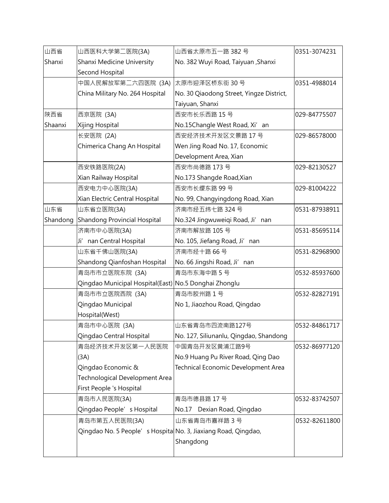| 山西省      | 山西医科大学第二医院(3A)                                                 | 山西省太原市五一路 382号                           | 0351-3074231  |
|----------|----------------------------------------------------------------|------------------------------------------|---------------|
| Shanxi   | Shanxi Medicine University                                     | No. 382 Wuyi Road, Taiyuan, Shanxi       |               |
|          | Second Hospital                                                |                                          |               |
|          | 中国人民解放军第二六四医院 (3A) 太原市迎泽区桥东街 30 号                              |                                          | 0351-4988014  |
|          | China Military No. 264 Hospital                                | No. 30 Qiaodong Street, Yingze District, |               |
|          |                                                                | Taiyuan, Shanxi                          |               |
| 陕西省      | 西京医院 (3A)                                                      | 西安市长乐西路 15号                              | 029-84775507  |
| Shaanxi  | Xijing Hospital                                                | No.15Changle West Road, Xi' an           |               |
|          | 长安医院 (2A)                                                      | 西安经济技术开发区文景路 17号                         | 029-86578000  |
|          | Chimerica Chang An Hospital                                    | Wen Jing Road No. 17, Economic           |               |
|          |                                                                | Development Area, Xian                   |               |
|          | 西安铁路医院(2A)                                                     | 西安市尚德路 173号                              | 029-82130527  |
|          | Xian Railway Hospital                                          | No.173 Shangde Road, Xian                |               |
|          | 西安电力中心医院(3A)                                                   | 西安市长缨东路 99号                              | 029-81004222  |
|          | Xian Electric Central Hospital                                 | No. 99, Changyingdong Road, Xian         |               |
| 山东省      | 山东省立医院(3A)                                                     | 济南市经五纬七路 324号                            | 0531-87938911 |
| Shandong | Shandong Provincial Hospital                                   | No.324 Jingwuweiqi Road, Ji'nan          |               |
|          | 济南市中心医院(3A)                                                    | 济南市解放路 105号                              | 0531-85695114 |
|          | Ji' nan Central Hospital                                       | No. 105, Jiefang Road, Ji' nan           |               |
|          | 山东省千佛山医院(3A)                                                   | 济南市经十路66号                                | 0531-82968900 |
|          | Shandong Qianfoshan Hospital                                   | No. 66 Jingshi Road, Ji'nan              |               |
|          | 青岛市市立医院东院 (3A)                                                 | 青岛市东海中路5号                                | 0532-85937600 |
|          | Qingdao Municipal Hospital(East) No.5 Donghai Zhonglu          |                                          |               |
|          | 青岛市市立医院西院 (3A)                                                 | 青岛市胶州路1号                                 | 0532-82827191 |
|          | Qingdao Municipal                                              | No 1, Jiaozhou Road, Qingdao             |               |
|          | Hospital(West)                                                 |                                          |               |
|          | 青岛市中心医院 (3A)                                                   | 山东省青岛市四流南路127号                           | 0532-84861717 |
|          | Qingdao Central Hospital                                       | No. 127, Siliunanlu, Qingdao, Shandong   |               |
|          | 青岛经济技术开发区第一人民医院                                                | 中国青岛开发区黄浦江路9号                            | 0532-86977120 |
|          | (3A)                                                           | No.9 Huang Pu River Road, Qing Dao       |               |
|          | Qingdao Economic &                                             | Technical Economic Development Area      |               |
|          | <b>Technological Development Area</b>                          |                                          |               |
|          | First People 's Hospital                                       |                                          |               |
|          | 青岛市人民医院(3A)                                                    | 青岛市德县路 17号                               | 0532-83742507 |
|          | Qingdao People's Hospital                                      | No.17 Dexian Road, Qingdao               |               |
|          | 青岛市第五人民医院(3A)                                                  | 山东省青岛市嘉祥路3号                              | 0532-82611800 |
|          | Qingdao No. 5 People's Hospital No. 3, Jiaxiang Road, Qingdao, |                                          |               |
|          |                                                                | Shangdong                                |               |
|          |                                                                |                                          |               |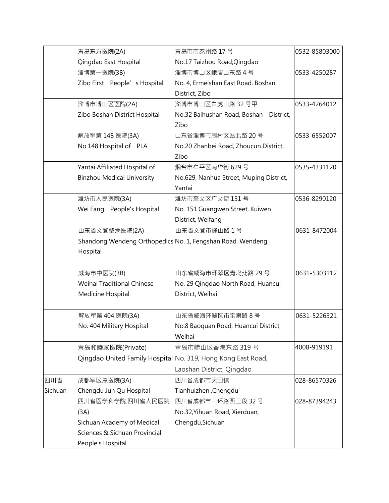|         | 青岛东方医院(2A)                                                   | 青岛市市泰州路 17号                               | 0532-85803000 |
|---------|--------------------------------------------------------------|-------------------------------------------|---------------|
|         | Qingdao East Hospital                                        | No.17 Taizhou Road, Qingdao               |               |
|         | 淄博第一医院(3B)                                                   | 淄博市博山区峨眉山东路4号                             | 0533-4250287  |
|         | Zibo First People's Hospital                                 | No. 4, Ermeishan East Road, Boshan        |               |
|         |                                                              | District, Zibo                            |               |
|         | 淄博市博山区医院(2A)                                                 | 淄博市博山区白虎山路 32号甲                           | 0533-4264012  |
|         | Zibo Boshan District Hospital                                | No.32 Baihushan Road, Boshan<br>District, |               |
|         |                                                              | Zibo                                      |               |
|         | 解放军第 148 医院(3A)                                              | 山东省淄博市周村区站北路 20号                          | 0533-6552007  |
|         | No.148 Hospital of PLA                                       | No.20 Zhanbei Road, Zhoucun District,     |               |
|         |                                                              | Zibo                                      |               |
|         | Yantai Affiliated Hospital of                                | 烟台市牟平区南华街 629号                            | 0535-4331120  |
|         | <b>Binzhou Medical University</b>                            | No.629, Nanhua Street, Muping District,   |               |
|         |                                                              | Yantai                                    |               |
|         | 潍坊市人民医院(3A)                                                  | 潍坊市奎文区广文街 151号                            | 0536-8290120  |
|         | Wei Fang People's Hospital                                   | No. 151 Guangwen Street, Kuiwen           |               |
|         |                                                              | District, Weifang                         |               |
|         | 山东省文登整骨医院(2A)                                                | 山东省文登市峰山路1号                               | 0631-8472004  |
|         | Shandong Wendeng Orthopedics No. 1, Fengshan Road, Wendeng   |                                           |               |
|         | Hospital                                                     |                                           |               |
|         |                                                              |                                           |               |
|         | 威海市中医院(3B)                                                   | 山东省威海市环翠区青岛北路 29号                         | 0631-5303112  |
|         | Weihai Traditional Chinese                                   | No. 29 Qingdao North Road, Huancui        |               |
|         | Medicine Hospital                                            | District, Weihai                          |               |
|         |                                                              |                                           |               |
|         | 解放军第 404 医院(3A)                                              | 山东省威海环翠区市宝泉路8号                            | 0631-5226321  |
|         | No. 404 Military Hospital                                    | No.8 Baoquan Road, Huancui District,      |               |
|         |                                                              | Weihai                                    |               |
|         | 青岛和睦家医院(Private)                                             | 青岛市崂山区香港东路 319号                           | 4008-919191   |
|         | Qingdao United Family Hospital No. 319, Hong Kong East Road, |                                           |               |
|         |                                                              | Laoshan District, Qingdao                 |               |
| 四川省     | 成都军区总医院(3A)                                                  | 四川省成都市天回镇                                 | 028-86570326  |
| Sichuan | Chengdu Jun Qu Hospital                                      | Tianhuizhen, Chengdu                      |               |
|         | 四川省医学科学院.四川省人民医院                                             | 四川省成都市一环路西二段 32号                          | 028-87394243  |
|         | (3A)                                                         | No.32, Yihuan Road, Xierduan,             |               |
|         | Sichuan Academy of Medical                                   | Chengdu, Sichuan                          |               |
|         | Sciences & Sichuan Provincial                                |                                           |               |
|         | People's Hospital                                            |                                           |               |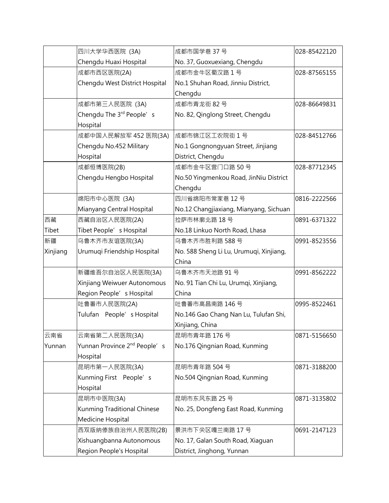|          | 四川大学华西医院 (3A)                            | 成都市国学巷 37号                              | 028-85422120 |
|----------|------------------------------------------|-----------------------------------------|--------------|
|          | Chengdu Huaxi Hospital                   | No. 37, Guoxuexiang, Chengdu            |              |
|          | 成都市西区医院(2A)                              | 成都市金牛区蜀汉路1号                             | 028-87565155 |
|          | Chengdu West District Hospital           | No.1 Shuhan Road, Jinniu District,      |              |
|          |                                          | Chengdu                                 |              |
|          | 成都市第三人民医院 (3A)                           | 成都市青龙街 82号                              | 028-86649831 |
|          | Chengdu The 3rd People's                 | No. 82, Qinglong Street, Chengdu        |              |
|          | Hospital                                 |                                         |              |
|          | 成都中国人民解放军 452 医院(3A)                     | 成都市锦江区工农院街 1号                           | 028-84512766 |
|          | Chengdu No.452 Military                  | No.1 Gongnongyuan Street, Jinjiang      |              |
|          | Hospital                                 | District, Chengdu                       |              |
|          | 成都恒博医院(2B)                               | 成都市金牛区营门口路 50号                          | 028-87712345 |
|          | Chengdu Hengbo Hospital                  | No.50 Yingmenkou Road, JinNiu District  |              |
|          |                                          | Chengdu                                 |              |
|          | 绵阳市中心医院 (3A)                             | 四川省绵阳市常家巷 12号                           | 0816-2222566 |
|          | Mianyang Central Hospital                | No.12 Changjiaxiang, Mianyang, Sichuan  |              |
| 西藏       | 西藏自治区人民医院(2A)                            | 拉萨市林廓北路 18号                             | 0891-6371322 |
| Tibet    | Tibet People's Hospital                  | No.18 Linkuo North Road, Lhasa          |              |
| 新疆       | 乌鲁木齐市友谊医院(3A)                            | 乌鲁木齐市胜利路 588号                           | 0991-8523556 |
| Xinjiang | Urumuqi Friendship Hospital              | No. 588 Sheng Li Lu, Urumuqi, Xinjiang, |              |
|          |                                          | China                                   |              |
|          | 新疆维吾尔自治区人民医院(3A)                         | 乌鲁木齐市天池路 91号                            | 0991-8562222 |
|          | Xinjiang Weiwuer Autonomous              | No. 91 Tian Chi Lu, Urumqi, Xinjiang,   |              |
|          | Region People's Hospital                 | China                                   |              |
|          | 吐鲁番市人民医院(2A)                             | 吐鲁番市高昌南路 146号                           | 0995-8522461 |
|          | Tulufan People' s Hospital               | No.146 Gao Chang Nan Lu, Tulufan Shi,   |              |
|          |                                          | Xinjiang, China                         |              |
| 云南省      | 云南省第二人民医院(3A)                            | 昆明市青年路 176号                             | 0871-5156650 |
| Yunnan   | Yunnan Province 2 <sup>nd</sup> People's | No.176 Qingnian Road, Kunming           |              |
|          | Hospital                                 |                                         |              |
|          | 昆明市第一人民医院(3A)                            | 昆明市青年路 504号                             | 0871-3188200 |
|          | Kunming First People's                   | No.504 Qingnian Road, Kunming           |              |
|          | Hospital                                 |                                         |              |
|          | 昆明市中医院(3A)                               | 昆明市东风东路 25号                             | 0871-3135802 |
|          | Kunming Traditional Chinese              | No. 25, Dongfeng East Road, Kunming     |              |
|          | Medicine Hospital                        |                                         |              |
|          | 西双版纳傣族自治州人民医院(2B)                        | 景洪市下关区嘎兰南路 17号                          | 0691-2147123 |
|          | Xishuangbanna Autonomous                 | No. 17, Galan South Road, Xiaguan       |              |
|          | Region People's Hospital                 | District, Jinghong, Yunnan              |              |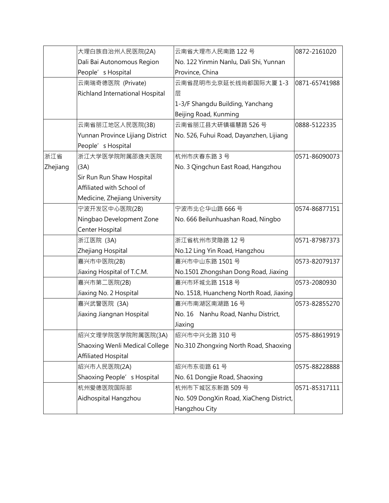|          | 大理白族自治州人民医院(2A)                  | 云南省大理市人民南路 122号                          | 0872-2161020  |
|----------|----------------------------------|------------------------------------------|---------------|
|          | Dali Bai Autonomous Region       | No. 122 Yinmin Nanlu, Dali Shi, Yunnan   |               |
|          | People's Hospital                | Province, China                          |               |
|          | 云南瑞奇德医院 (Private)                | 云南省昆明市北京延长线尚都国际大厦 1-3                    | 0871-65741988 |
|          | Richland International Hospital  | 层                                        |               |
|          |                                  | 1-3/F Shangdu Building, Yanchang         |               |
|          |                                  | Beijing Road, Kunming                    |               |
|          | 云南省丽江地区人民医院(3B)                  | 云南省丽江县大研镇福慧路 526号                        | 0888-5122335  |
|          | Yunnan Province Lijiang District | No. 526, Fuhui Road, Dayanzhen, Lijiang  |               |
|          | People's Hospital                |                                          |               |
| 浙江省      | 浙江大学医学院附属邵逸夫医院                   | 杭州市庆春东路 3 号                              | 0571-86090073 |
| Zhejiang | (3A)                             | No. 3 Qingchun East Road, Hangzhou       |               |
|          | Sir Run Run Shaw Hospital        |                                          |               |
|          | Affiliated with School of        |                                          |               |
|          | Medicine, Zhejiang University    |                                          |               |
|          | 宁波开发区中心医院(2B)                    | 宁波市北仑华山路 666号                            | 0574-86877151 |
|          | Ningbao Development Zone         | No. 666 Beilunhuashan Road, Ningbo       |               |
|          | Center Hospital                  |                                          |               |
|          | 浙江医院 (3A)                        | 浙江省杭州市灵隐路 12号                            | 0571-87987373 |
|          | Zhejiang Hospital                | No.12 Ling Yin Road, Hangzhou            |               |
|          | 嘉兴市中医院(2B)                       | 嘉兴市中山东路 1501号                            | 0573-82079137 |
|          | Jiaxing Hospital of T.C.M.       | No.1501 Zhongshan Dong Road, Jiaxing     |               |
|          | 嘉兴市第二医院(2B)                      | 嘉兴市环城北路 1518号                            | 0573-2080930  |
|          | Jiaxing No. 2 Hospital           | No. 1518, Huancheng North Road, Jiaxing  |               |
|          | 嘉兴武警医院 (3A)                      | 嘉兴市南湖区南湖路 16号                            | 0573-82855270 |
|          | Jiaxing Jiangnan Hospital        | No. 16 Nanhu Road, Nanhu District,       |               |
|          |                                  | Jiaxing                                  |               |
|          | 绍兴文理学院医学院附属医院(3A)                | 绍兴市中兴北路 310号                             | 0575-88619919 |
|          | Shaoxing Wenli Medical College   | No.310 Zhongxing North Road, Shaoxing    |               |
|          | <b>Affiliated Hospital</b>       |                                          |               |
|          | 绍兴市人民医院(2A)                      | 绍兴市东街路 61号                               | 0575-88228888 |
|          | Shaoxing People's Hospital       | No. 61 Dongjie Road, Shaoxing            |               |
|          | 杭州爱德医院国际部                        | 杭州市下城区东新路 509号                           | 0571-85317111 |
|          | Aidhospital Hangzhou             | No. 509 DongXin Road, XiaCheng District, |               |
|          |                                  | Hangzhou City                            |               |
|          |                                  |                                          |               |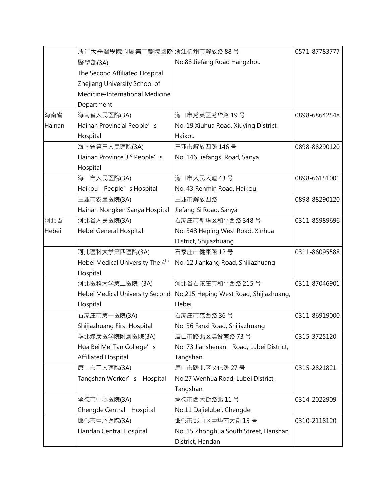|        | 浙江大學醫學院附屬第二醫院國際 浙江杭州市解放路 88号                 |                                         | 0571-87783777 |
|--------|----------------------------------------------|-----------------------------------------|---------------|
|        | 醫學部(3A)                                      | No.88 Jiefang Road Hangzhou             |               |
|        | The Second Affiliated Hospital               |                                         |               |
|        | Zhejiang University School of                |                                         |               |
|        | Medicine-International Medicine              |                                         |               |
|        | Department                                   |                                         |               |
| 海南省    | 海南省人民医院(3A)                                  | 海口市秀英区秀华路 19号                           | 0898-68642548 |
| Hainan | Hainan Provincial People's                   | No. 19 Xiuhua Road, Xiuying District,   |               |
|        | Hospital                                     | Haikou                                  |               |
|        | 海南省第三人民医院(3A)                                | 三亚市解放四路 146号                            | 0898-88290120 |
|        | Hainan Province 3rd People's                 | No. 146 Jiefangsi Road, Sanya           |               |
|        | Hospital                                     |                                         |               |
|        | 海口市人民医院(3A)                                  | 海口市人民大道 43号                             | 0898-66151001 |
|        | Haikou People' s Hospital                    | No. 43 Renmin Road, Haikou              |               |
|        | 三亚市农垦医院(3A)                                  | 三亚市解放四路                                 | 0898-88290120 |
|        | Hainan Nongken Sanya Hospital                | Jiefang Si Road, Sanya                  |               |
| 河北省    | 河北省人民医院(3A)                                  | 石家庄市新华区和平西路 348号                        | 0311-85989696 |
| Hebei  | Hebei General Hospital                       | No. 348 Heping West Road, Xinhua        |               |
|        |                                              | District, Shijiazhuang                  |               |
|        | 河北医科大学第四医院(3A)                               | 石家庄市健康路 12号                             | 0311-86095588 |
|        | Hebei Medical University The 4 <sup>th</sup> | No. 12 Jiankang Road, Shijiazhuang      |               |
|        | Hospital                                     |                                         |               |
|        | 河北医科大学第二医院 (3A)                              | 河北省石家庄市和平西路 215号                        | 0311-87046901 |
|        | Hebei Medical University Second              | No.215 Heping West Road, Shijiazhuang,  |               |
|        | Hospital                                     | Hebei                                   |               |
|        | 石家庄市第一医院(3A)                                 | 石家庄市范西路 36号                             | 0311-86919000 |
|        | Shijiazhuang First Hospital                  | No. 36 Fanxi Road, Shijiazhuang         |               |
|        | 华北煤炭医学院附属医院(3A)                              | 唐山市路北区建设南路 73号                          | 0315-3725120  |
|        | Hua Bei Mei Tan College's                    | No. 73 Jianshenan Road, Lubei District, |               |
|        | Affiliated Hospital                          | Tangshan                                |               |
|        | 唐山市工人医院(3A)                                  | 唐山市路北区文化路 27号                           | 0315-2821821  |
|        | Tangshan Worker's<br>Hospital                | No.27 Wenhua Road, Lubei District,      |               |
|        |                                              | Tangshan                                |               |
|        | 承德市中心医院(3A)                                  | 承德市西大街路北 11号                            | 0314-2022909  |
|        | Chengde Central Hospital                     | No.11 Dajielubei, Chengde               |               |
|        | 邯郸市中心医院(3A)                                  | 邯郸市邯山区中华南大街 15号                         | 0310-2118120  |
|        | Handan Central Hospital                      | No. 15 Zhonghua South Street, Hanshan   |               |
|        |                                              | District, Handan                        |               |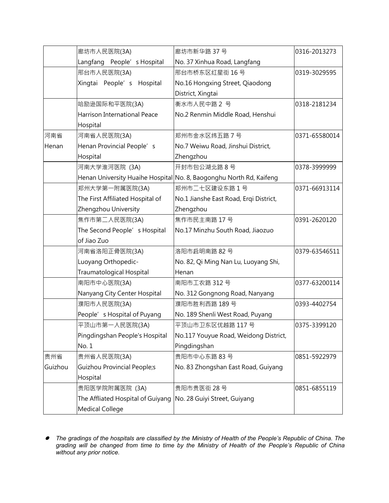|         | 廊坊市人民医院(3A)                                                    | 廊坊市新华路 37号                                                          | 0316-2013273  |
|---------|----------------------------------------------------------------|---------------------------------------------------------------------|---------------|
|         | Langfang People's Hospital                                     | No. 37 Xinhua Road, Langfang                                        |               |
|         | 邢台市人民医院(3A)                                                    | 邢台市桥东区红星街 16号                                                       | 0319-3029595  |
|         | Xingtai People' s Hospital                                     | No.16 Hongxing Street, Qiaodong                                     |               |
|         |                                                                | District, Xingtai                                                   |               |
|         | 哈励逊国际和平医院(3A)                                                  | 衡水市人民中路 2 号                                                         | 0318-2181234  |
|         | <b>Harrison International Peace</b>                            | No.2 Renmin Middle Road, Henshui                                    |               |
|         | Hospital                                                       |                                                                     |               |
| 河南省     | 河南省人民医院(3A)                                                    | 郑州市金水区纬五路 7号                                                        | 0371-65580014 |
| Henan   | Henan Provincial People's                                      | No.7 Weiwu Road, Jinshui District,                                  |               |
|         | Hospital                                                       | Zhengzhou                                                           |               |
|         | 河南大学淮河医院 (3A)                                                  | 开封市包公湖北路8号                                                          | 0378-3999999  |
|         |                                                                | Henan University Huaihe Hospital No. 8, Baogonghu North Rd, Kaifeng |               |
|         | 郑州大学第一附属医院(3A)                                                 | 郑州市二七区建设东路 1 号                                                      | 0371-66913114 |
|         | The First Affiliated Hospital of                               | No.1 Jianshe East Road, Erqi District,                              |               |
|         | Zhengzhou University                                           | Zhengzhou                                                           |               |
|         | 焦作市第二人民医院(3A)                                                  | 焦作市民主南路 17号                                                         | 0391-2620120  |
|         | The Second People's Hospital                                   | No.17 Minzhu South Road, Jiaozuo                                    |               |
|         | of Jiao Zuo                                                    |                                                                     |               |
|         | 河南省洛阳正骨医院(3A)                                                  | 洛阳市启明南路 82号                                                         | 0379-63546511 |
|         | Luoyang Orthopedic-                                            | No. 82, Qi Ming Nan Lu, Luoyang Shi,                                |               |
|         | Traumatological Hospital                                       | Henan                                                               |               |
|         | 南阳市中心医院(3A)                                                    | 南阳市工农路 312号                                                         | 0377-63200114 |
|         | Nanyang City Center Hospital                                   | No. 312 Gongnong Road, Nanyang                                      |               |
|         | 濮阳市人民医院(3A)                                                    | 濮阳市胜利西路 189号                                                        | 0393-4402754  |
|         | People's Hospital of Puyang                                    | No. 189 Shenli West Road, Puyang                                    |               |
|         | 平顶山市第一人民医院(3A)                                                 | 平顶山市卫东区优越路 117号                                                     | 0375-3399120  |
|         | Pingdingshan People's Hospital                                 | No.117 Youyue Road, Weidong District,                               |               |
|         | No. 1                                                          | Pingdingshan                                                        |               |
| 贵州省     | 贵州省人民医院(3A)                                                    | 贵阳市中心东路 83号                                                         | 0851-5922979  |
| Guizhou | Guizhou Provincial People;s                                    | No. 83 Zhongshan East Road, Guiyang                                 |               |
|         | Hospital                                                       |                                                                     |               |
|         | 贵阳医学院附属医院 (3A)                                                 | 贵阳市贵医街 28号                                                          | 0851-6855119  |
|         | The Affliated Hospital of Guiyang No. 28 Guiyi Street, Guiyang |                                                                     |               |
|         | <b>Medical College</b>                                         |                                                                     |               |

● The gradings of the hospitals are classified by the Ministry of Health of the People's Republic of China. The grading will be changed from time to time by the Ministry of Health of the People's Republic of China *without any prior notice.*